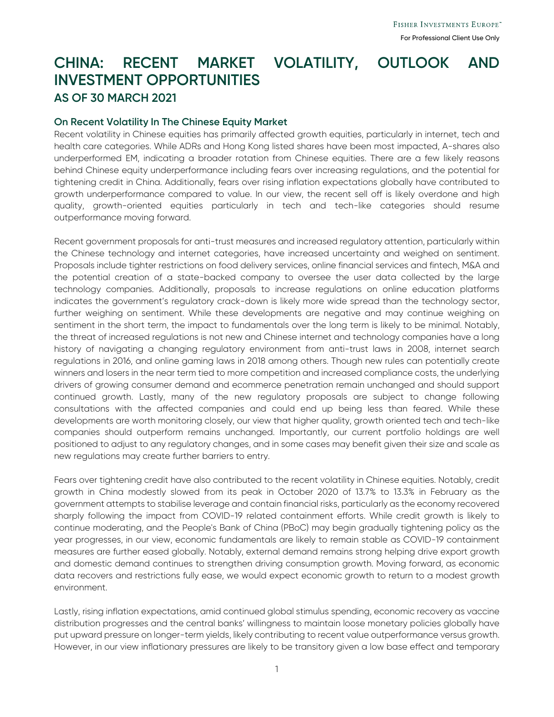## **CHINA: RECENT MARKET VOLATILITY, OUTLOOK AND INVESTMENT OPPORTUNITIES AS OF 30 MARCH 2021**

## **On Recent Volatility In The Chinese Equity Market**

Recent volatility in Chinese equities has primarily affected growth equities, particularly in internet, tech and health care categories. While ADRs and Hong Kong listed shares have been most impacted, A-shares also underperformed EM, indicating a broader rotation from Chinese equities. There are a few likely reasons behind Chinese equity underperformance including fears over increasing regulations, and the potential for tightening credit in China. Additionally, fears over rising inflation expectations globally have contributed to growth underperformance compared to value. In our view, the recent sell off is likely overdone and high quality, growth-oriented equities particularly in tech and tech-like categories should resume outperformance moving forward.

Recent government proposals for anti-trust measures and increased regulatory attention, particularly within the Chinese technology and internet categories, have increased uncertainty and weighed on sentiment. Proposals include tighter restrictions on food delivery services, online financial services and fintech, M&A and the potential creation of a state-backed company to oversee the user data collected by the large technology companies. Additionally, proposals to increase regulations on online education platforms indicates the government's regulatory crack-down is likely more wide spread than the technology sector, further weighing on sentiment. While these developments are negative and may continue weighing on sentiment in the short term, the impact to fundamentals over the long term is likely to be minimal. Notably, the threat of increased regulations is not new and Chinese internet and technology companies have a long history of navigating a changing regulatory environment from anti-trust laws in 2008, internet search regulations in 2016, and online gaming laws in 2018 among others. Though new rules can potentially create winners and losers in the near term tied to more competition and increased compliance costs, the underlying drivers of growing consumer demand and ecommerce penetration remain unchanged and should support continued growth. Lastly, many of the new regulatory proposals are subject to change following consultations with the affected companies and could end up being less than feared. While these developments are worth monitoring closely, our view that higher quality, growth oriented tech and tech-like companies should outperform remains unchanged. Importantly, our current portfolio holdings are well positioned to adjust to any regulatory changes, and in some cases may benefit given their size and scale as new regulations may create further barriers to entry.

Fears over tightening credit have also contributed to the recent volatility in Chinese equities. Notably, credit growth in China modestly slowed from its peak in October 2020 of 13.7% to 13.3% in February as the government attempts to stabilise leverage and contain financial risks, particularly as the economy recovered sharply following the impact from COVID-19 related containment efforts. While credit growth is likely to continue moderating, and the People's Bank of China (PBoC) may begin gradually tightening policy as the year progresses, in our view, economic fundamentals are likely to remain stable as COVID-19 containment measures are further eased globally. Notably, external demand remains strong helping drive export growth and domestic demand continues to strengthen driving consumption growth. Moving forward, as economic data recovers and restrictions fully ease, we would expect economic growth to return to a modest growth environment.

Lastly, rising inflation expectations, amid continued global stimulus spending, economic recovery as vaccine distribution progresses and the central banks' willingness to maintain loose monetary policies globally have put upward pressure on longer-term yields, likely contributing to recent value outperformance versus growth. However, in our view inflationary pressures are likely to be transitory given a low base effect and temporary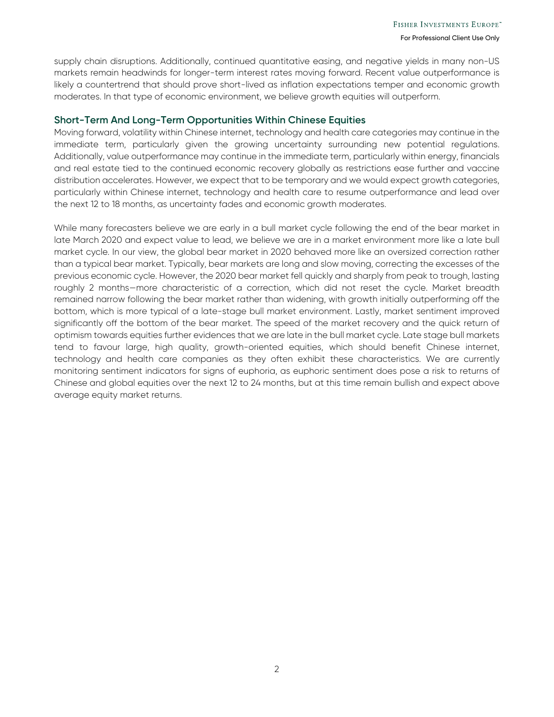supply chain disruptions. Additionally, continued quantitative easing, and negative yields in many non-US markets remain headwinds for longer-term interest rates moving forward. Recent value outperformance is likely a countertrend that should prove short-lived as inflation expectations temper and economic growth moderates. In that type of economic environment, we believe growth equities will outperform.

## **Short-Term And Long-Term Opportunities Within Chinese Equities**

Moving forward, volatility within Chinese internet, technology and health care categories may continue in the immediate term, particularly given the growing uncertainty surrounding new potential regulations. Additionally, value outperformance may continue in the immediate term, particularly within energy, financials and real estate tied to the continued economic recovery globally as restrictions ease further and vaccine distribution accelerates. However, we expect that to be temporary and we would expect growth categories, particularly within Chinese internet, technology and health care to resume outperformance and lead over the next 12 to 18 months, as uncertainty fades and economic growth moderates.

While many forecasters believe we are early in a bull market cycle following the end of the bear market in late March 2020 and expect value to lead, we believe we are in a market environment more like a late bull market cycle. In our view, the global bear market in 2020 behaved more like an oversized correction rather than a typical bear market. Typically, bear markets are long and slow moving, correcting the excesses of the previous economic cycle. However, the 2020 bear market fell quickly and sharply from peak to trough, lasting roughly 2 months—more characteristic of a correction, which did not reset the cycle. Market breadth remained narrow following the bear market rather than widening, with growth initially outperforming off the bottom, which is more typical of a late-stage bull market environment. Lastly, market sentiment improved significantly off the bottom of the bear market. The speed of the market recovery and the quick return of optimism towards equities further evidences that we are late in the bull market cycle. Late stage bull markets tend to favour large, high quality, growth-oriented equities, which should benefit Chinese internet, technology and health care companies as they often exhibit these characteristics. We are currently monitoring sentiment indicators for signs of euphoria, as euphoric sentiment does pose a risk to returns of Chinese and global equities over the next 12 to 24 months, but at this time remain bullish and expect above average equity market returns.